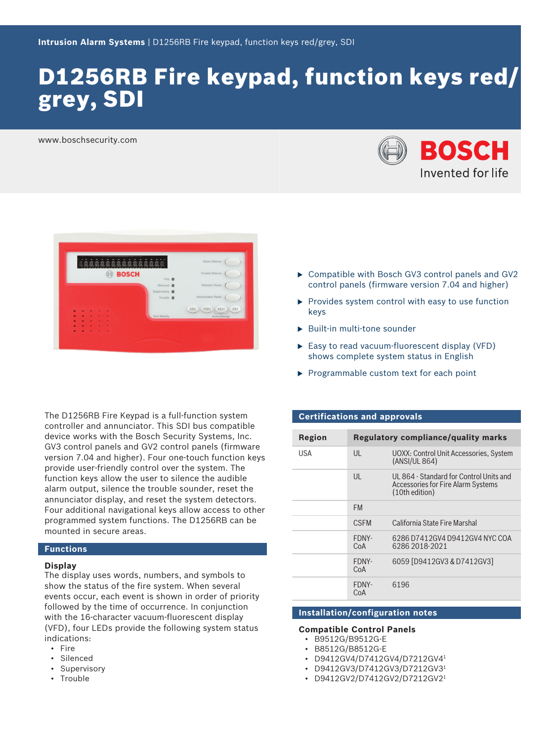# D1256RB Fire keypad, function keys red/ grey, SDI

www.boschsecurity.com





The D1256RB Fire Keypad is a full-function system controller and annunciator. This SDI bus compatible device works with the Bosch Security Systems, Inc. GV3 control panels and GV2 control panels (firmware version 7.04 and higher). Four one-touch function keys provide user-friendly control over the system. The function keys allow the user to silence the audible alarm output, silence the trouble sounder, reset the annunciator display, and reset the system detectors. Four additional navigational keys allow access to other programmed system functions. The D1256RB can be mounted in secure areas.

#### **Functions**

#### **Display**

The display uses words, numbers, and symbols to show the status of the fire system. When several events occur, each event is shown in order of priority followed by the time of occurrence. In conjunction with the 16-character vacuum-fluorescent display (VFD), four LEDs provide the following system status indications:

- Fire
- Silenced
- Supervisory
- Trouble
- $\triangleright$  Compatible with Bosch GV3 control panels and GV2 control panels (firmware version 7.04 and higher)
- $\blacktriangleright$  Provides system control with easy to use function keys
- $\blacktriangleright$  Built-in multi-tone sounder
- $\blacktriangleright$  Easy to read vacuum-fluorescent display (VFD) shows complete system status in English
- $\blacktriangleright$  Programmable custom text for each point

#### **Certifications and approvals**

| Region |              | Regulatory compliance/quality marks                                                                    |
|--------|--------------|--------------------------------------------------------------------------------------------------------|
| USA    | $\mathsf{U}$ | UOXX: Control Unit Accessories, System<br>(ANSI/UL 864)                                                |
|        | UL           | UL 864 - Standard for Control Units and<br><b>Accessories for Fire Alarm Systems</b><br>(10th edition) |
|        | <b>FM</b>    |                                                                                                        |
|        | <b>CSEM</b>  | California State Fire Marshal                                                                          |
|        | FDNY-<br>CoA | 6286 D7412GV4 D9412GV4 NYC COA<br>6286 2018-2021                                                       |
|        | FDNY-<br>CoA | 6059 [D9412GV3 & D7412GV3]                                                                             |
|        | FDNY-<br>CoA | 6196                                                                                                   |

# **Installation/configuration notes**

#### **Compatible Control Panels**

- B9512G/B9512G-E
- B8512G/B8512G-E
- D9412GV4/D7412GV4/D7212GV4<sup>1</sup>
- D9412GV3/D7412GV3/D7212GV3<sup>1</sup>
- D9412GV2/D7412GV2/D7212GV21